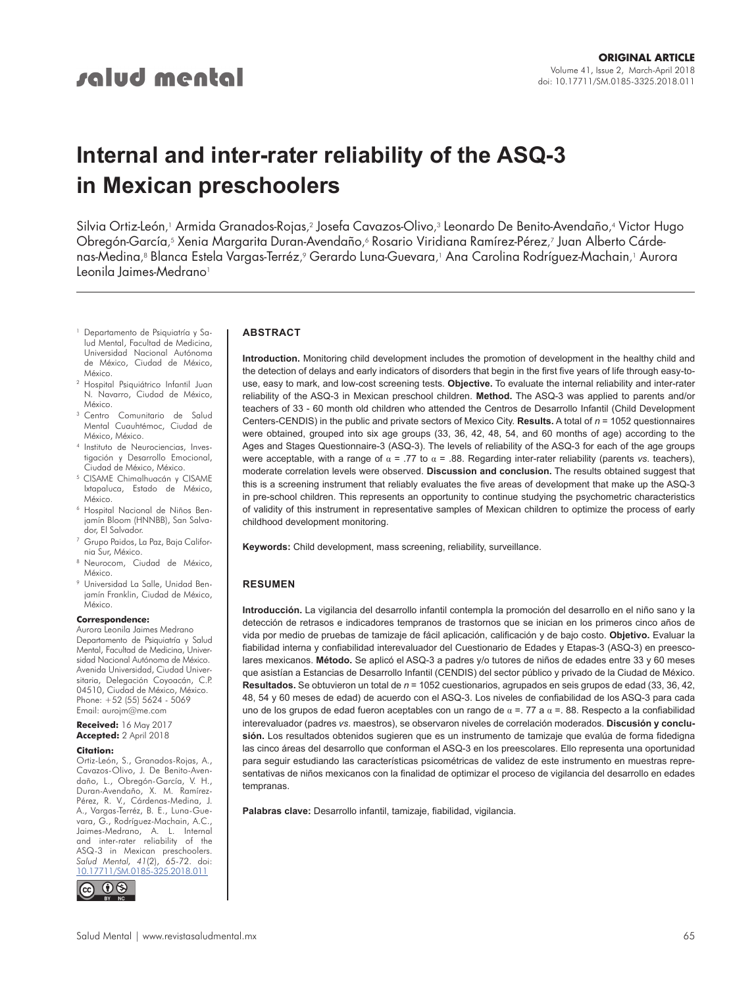# **Internal and inter-rater reliability of the ASQ-3 in Mexican preschoolers**

Silvia Ortiz-León, <sup>1</sup> Armida Granados-Rojas, <sup>2</sup> Josefa Cavazos-Olivo, <sup>3</sup> Leonardo De Benito-Avendaño, <sup>4</sup> Victor Hugo Obregón-García, <sup>5</sup> Xenia Margarita Duran-Avendaño, <sup>6</sup> Rosario Viridiana Ramírez-Pérez, <sup>7</sup> Juan Alberto Cárdenas-Medina, <sup>8</sup> Blanca Estela Vargas-Terréz, <sup>9</sup> Gerardo Luna-Guevara, <sup>1</sup> Ana Carolina Rodríguez-Machain, <sup>1</sup> Aurora Leonila Jaimes-Medrano<sup>1</sup>

- <sup>1</sup> Departamento de Psiquiatría y Salud Mental, Facultad de Medicina, Universidad Nacional Autónoma de México, Ciudad de México, México.
- <sup>2</sup> Hospital Psiquiátrico Infantil Juan N. Navarro, Ciudad de México, México.
- <sup>3</sup> Centro Comunitario de Salud Mental Cuauhtémoc, Ciudad de México, México.
- <sup>4</sup> Instituto de Neurociencias, Investigación y Desarrollo Emocional, Ciudad de México, México.
- 5 CISAME Chimalhuacán y CISAME Ixtapaluca, Estado de México, México.
- <sup>6</sup> Hospital Nacional de Niños Benjamín Bloom (HNNBB), San Salvador, El Salvador.
- <sup>7</sup> Grupo Paidos, La Paz, Baja California Sur, México.
- <sup>8</sup> Neurocom, Ciudad de México, México.
- Universidad La Salle, Unidad Benjamín Franklin, Ciudad de México, México.

#### **Correspondence:**

Aurora Leonila Jaimes Medrano Departamento de Psiquiatría y Salud Mental, Facultad de Medicina, Universidad Nacional Autónoma de México. Avenida Universidad, Ciudad Universitaria, Delegación Coyoacán, C.P. 04510, Ciudad de México, México. Phone: +52 (55) 5624 - 5069 Email: aurojm@me.com

**Received:** 16 May 2017 **Accepted:** 2 April 2018

#### **Citation:**

Ortiz-León, S., Granados-Rojas, A., Cavazos-Olivo, J. De Benito-Avendaño, L., Obregón-García, V. H., Duran-Avendaño, X. M. Ramírez-Pérez, R. V., Cárdenas-Medina, J. A., Vargas-Terréz, B. E., Luna-Guevara, G., Rodríguez-Machain, A.C., Jaimes-Medrano, A. L. Internal and inter-rater reliability of the ASQ-3 in Mexican preschoolers. *Salud Mental, 41*(2), 65-72. doi: [10.17711/SM.0185-325.2018.011](http://doi.org/10.17711/SM.0185-3325.2018.011)



#### **ABSTRACT**

**Introduction.** Monitoring child development includes the promotion of development in the healthy child and the detection of delays and early indicators of disorders that begin in the first five years of life through easy-touse, easy to mark, and low-cost screening tests. **Objective.** To evaluate the internal reliability and inter-rater reliability of the ASQ-3 in Mexican preschool children. **Method.** The ASQ-3 was applied to parents and/or teachers of 33 - 60 month old children who attended the Centros de Desarrollo Infantil (Child Development Centers-CENDIS) in the public and private sectors of Mexico City. **Results.** A total of *n* = 1052 questionnaires were obtained, grouped into six age groups (33, 36, 42, 48, 54, and 60 months of age) according to the Ages and Stages Questionnaire-3 (ASQ-3). The levels of reliability of the ASQ-3 for each of the age groups were acceptable, with a range of α = .77 to α = .88. Regarding inter-rater reliability (parents *vs*. teachers), moderate correlation levels were observed. **Discussion and conclusion.** The results obtained suggest that this is a screening instrument that reliably evaluates the five areas of development that make up the ASQ-3 in pre-school children. This represents an opportunity to continue studying the psychometric characteristics of validity of this instrument in representative samples of Mexican children to optimize the process of early childhood development monitoring.

**Keywords:** Child development, mass screening, reliability, surveillance.

#### **RESUMEN**

**Introducción.** La vigilancia del desarrollo infantil contempla la promoción del desarrollo en el niño sano y la detección de retrasos e indicadores tempranos de trastornos que se inician en los primeros cinco años de vida por medio de pruebas de tamizaje de fácil aplicación, calificación y de bajo costo. **Objetivo.** Evaluar la fiabilidad interna y confiabilidad interevaluador del Cuestionario de Edades y Etapas-3 (ASQ-3) en preescolares mexicanos. **Método.** Se aplicó el ASQ-3 a padres y/o tutores de niños de edades entre 33 y 60 meses que asistían a Estancias de Desarrollo Infantil (CENDIS) del sector público y privado de la Ciudad de México. **Resultados.** Se obtuvieron un total de *n* = 1052 cuestionarios, agrupados en seis grupos de edad (33, 36, 42, 48, 54 y 60 meses de edad) de acuerdo con el ASQ-3. Los niveles de confiabilidad de los ASQ-3 para cada uno de los grupos de edad fueron aceptables con un rango de  $α =$ . 77 a  $α =$ . 88. Respecto a la confiabilidad interevaluador (padres *vs*. maestros), se observaron niveles de correlación moderados. **Discusión y conclusión.** Los resultados obtenidos sugieren que es un instrumento de tamizaje que evalúa de forma fidedigna las cinco áreas del desarrollo que conforman el ASQ-3 en los preescolares. Ello representa una oportunidad para seguir estudiando las características psicométricas de validez de este instrumento en muestras representativas de niños mexicanos con la finalidad de optimizar el proceso de vigilancia del desarrollo en edades tempranas.

**Palabras clave:** Desarrollo infantil, tamizaje, fiabilidad, vigilancia.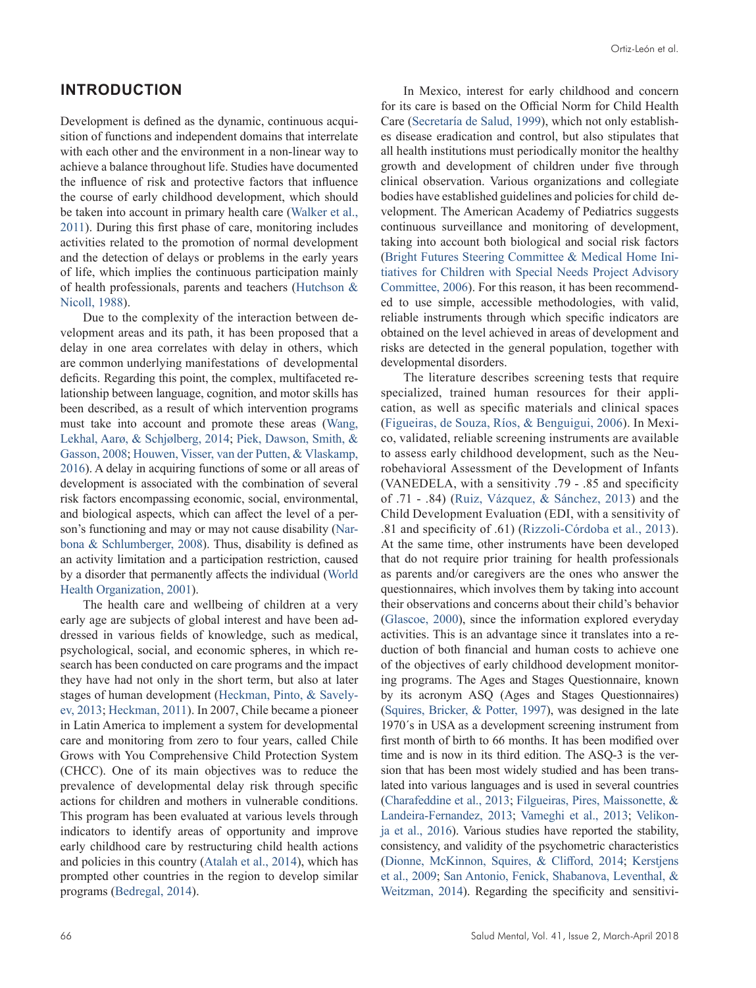# **INTRODUCTION**

Development is defined as the dynamic, continuous acquisition of functions and independent domains that interrelate with each other and the environment in a non-linear way to achieve a balance throughout life. Studies have documented the influence of risk and protective factors that influence the course of early childhood development, which should be taken into account in primary health care [\(Walker et al.,](#page-7-0) [2011](#page-7-0)). During this first phase of care, monitoring includes activities related to the promotion of normal development and the detection of delays or problems in the early years of life, which implies the continuous participation mainly of health professionals, parents and teachers ([Hutchson &](#page-6-0) [Nicoll, 1988](#page-6-0)).

Due to the complexity of the interaction between development areas and its path, it has been proposed that a delay in one area correlates with delay in others, which are common underlying manifestations of developmental deficits. Regarding this point, the complex, multifaceted relationship between language, cognition, and motor skills has been described, as a result of which intervention programs must take into account and promote these areas ([Wang,](#page-7-1) [Lekhal, Aarø, & Schjølberg, 2014](#page-7-1); [Piek, Dawson, Smith, &](#page-6-1)  [Gasson, 2008](#page-6-1); [Houwen, Visser, van der Putten, & Vlaskamp,](#page-6-2) [2016](#page-6-2)). A delay in acquiring functions of some or all areas of development is associated with the combination of several risk factors encompassing economic, social, environmental, and biological aspects, which can affect the level of a person's functioning and may or may not cause disability [\(Nar](#page-6-3)[bona & Schlumberger, 2008](#page-6-3)). Thus, disability is defined as an activity limitation and a participation restriction, caused by a disorder that permanently affects the individual ([World](#page-6-4) [Health Organization, 2001](#page-6-4)).

The health care and wellbeing of children at a very early age are subjects of global interest and have been addressed in various fields of knowledge, such as medical, psychological, social, and economic spheres, in which research has been conducted on care programs and the impact they have had not only in the short term, but also at later stages of human development ([Heckman, Pinto, & Savely](#page-6-5)[ev, 2013](#page-6-5); [Heckman, 2011\)](#page-6-6). In 2007, Chile became a pioneer in Latin America to implement a system for developmental care and monitoring from zero to four years, called Chile Grows with You Comprehensive Child Protection System (CHCC). One of its main objectives was to reduce the prevalence of developmental delay risk through specific actions for children and mothers in vulnerable conditions. This program has been evaluated at various levels through indicators to identify areas of opportunity and improve early childhood care by restructuring child health actions and policies in this country [\(Atalah et al., 2014](#page-6-7)), which has prompted other countries in the region to develop similar programs ([Bedregal, 2014\)](#page-6-8).

In Mexico, interest for early childhood and concern for its care is based on the Official Norm for Child Health Care ([Secretaría de Salud, 1999](#page-6-9)), which not only establishes disease eradication and control, but also stipulates that all health institutions must periodically monitor the healthy growth and development of children under five through clinical observation. Various organizations and collegiate bodies have established guidelines and policies for child development. The American Academy of Pediatrics suggests continuous surveillance and monitoring of development, taking into account both biological and social risk factors [\(Bright Futures Steering Committee & Medical Home Ini](#page-6-10)[tiatives for Children with Special Needs Project Advisory](#page-6-10)  [Committee, 2006](#page-6-10)). For this reason, it has been recommended to use simple, accessible methodologies, with valid, reliable instruments through which specific indicators are obtained on the level achieved in areas of development and risks are detected in the general population, together with developmental disorders.

The literature describes screening tests that require specialized, trained human resources for their application, as well as specific materials and clinical spaces [\(Figueiras, de Souza, Ríos, & Benguigui, 2006](#page-6-11)). In Mexico, validated, reliable screening instruments are available to assess early childhood development, such as the Neurobehavioral Assessment of the Development of Infants (VANEDELA, with a sensitivity .79 - .85 and specificity of .71 - .84) ([Ruiz, Vázquez, & Sánchez, 2013](#page-6-12)) and the Child Development Evaluation (EDI, with a sensitivity of .81 and specificity of .61) ([Rizzoli-Córdoba et al., 2013](#page-6-13)). At the same time, other instruments have been developed that do not require prior training for health professionals as parents and/or caregivers are the ones who answer the questionnaires, which involves them by taking into account their observations and concerns about their child's behavior [\(Glascoe, 2000\)](#page-6-14), since the information explored everyday activities. This is an advantage since it translates into a reduction of both financial and human costs to achieve one of the objectives of early childhood development monitoring programs. The Ages and Stages Questionnaire, known by its acronym ASQ (Ages and Stages Questionnaires) [\(Squires, Bricker, & Potter, 1997\)](#page-6-15), was designed in the late 1970´s in USA as a development screening instrument from first month of birth to 66 months. It has been modified over time and is now in its third edition. The ASQ-3 is the version that has been most widely studied and has been translated into various languages and is used in several countries [\(Charafeddine et al., 2013](#page-6-16); [Filgueiras, Pires, Maissonette, &](#page-6-17) [Landeira-Fernandez, 2013](#page-6-17); [Vameghi et al., 2013](#page-7-2); [Velikon](#page-7-3)[ja et al., 2016](#page-7-3)). Various studies have reported the stability, consistency, and validity of the psychometric characteristics [\(Dionne, McKinnon, Squires, & Clifford, 2014](#page-6-18); [Kerstjens](#page-6-19) [et al., 2009](#page-6-19); [San Antonio, Fenick, Shabanova, Leventhal, &](#page-6-20) [Weitzman, 2014](#page-6-20)). Regarding the specificity and sensitivi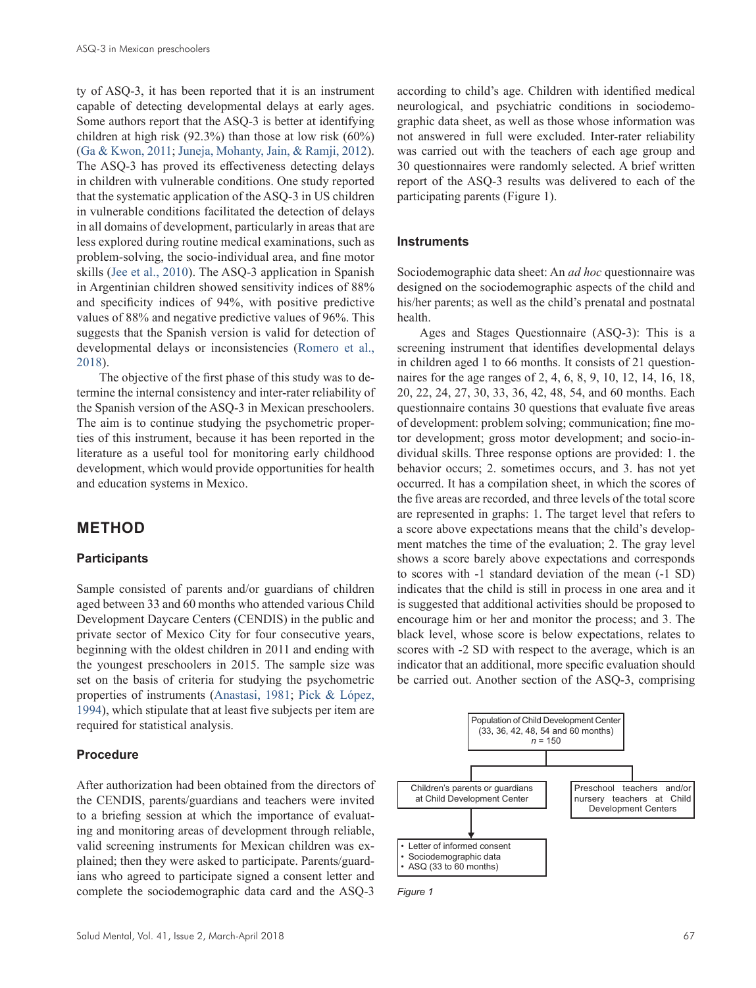ty of ASQ-3, it has been reported that it is an instrument capable of detecting developmental delays at early ages. Some authors report that the ASQ-3 is better at identifying children at high risk (92.3%) than those at low risk (60%) [\(Ga & Kwon, 2011](#page-6-21); [Juneja, Mohanty, Jain, & Ramji, 2012](#page-6-22)). The ASQ-3 has proved its effectiveness detecting delays in children with vulnerable conditions. One study reported that the systematic application of the ASQ-3 in US children in vulnerable conditions facilitated the detection of delays in all domains of development, particularly in areas that are less explored during routine medical examinations, such as problem-solving, the socio-individual area, and fine motor skills ([Jee et al., 2010\)](#page-6-23). The ASQ-3 application in Spanish in Argentinian children showed sensitivity indices of 88% and specificity indices of 94%, with positive predictive values of 88% and negative predictive values of 96%. This suggests that the Spanish version is valid for detection of developmental delays or inconsistencies ([Romero et al.,](#page-6-24)  [2018](#page-6-24)).

The objective of the first phase of this study was to determine the internal consistency and inter-rater reliability of the Spanish version of the ASQ-3 in Mexican preschoolers. The aim is to continue studying the psychometric properties of this instrument, because it has been reported in the literature as a useful tool for monitoring early childhood development, which would provide opportunities for health and education systems in Mexico.

# **METHOD**

## **Participants**

Sample consisted of parents and/or guardians of children aged between 33 and 60 months who attended various Child Development Daycare Centers (CENDIS) in the public and private sector of Mexico City for four consecutive years, beginning with the oldest children in 2011 and ending with the youngest preschoolers in 2015. The sample size was set on the basis of criteria for studying the psychometric properties of instruments [\(Anastasi, 1981](#page-6-25); [Pick & López,](#page-6-26)  [1994\)](#page-6-26), which stipulate that at least five subjects per item are required for statistical analysis.

## **Procedure**

After authorization had been obtained from the directors of the CENDIS, parents/guardians and teachers were invited to a briefing session at which the importance of evaluating and monitoring areas of development through reliable, valid screening instruments for Mexican children was explained; then they were asked to participate. Parents/guardians who agreed to participate signed a consent letter and complete the sociodemographic data card and the ASQ-3

according to child's age. Children with identified medical neurological, and psychiatric conditions in sociodemographic data sheet, as well as those whose information was not answered in full were excluded. Inter-rater reliability was carried out with the teachers of each age group and 30 questionnaires were randomly selected. A brief written report of the ASQ-3 results was delivered to each of the participating parents (Figure 1).

#### **Instruments**

Sociodemographic data sheet: An *ad hoc* questionnaire was designed on the sociodemographic aspects of the child and his/her parents; as well as the child's prenatal and postnatal health.

Ages and Stages Questionnaire (ASQ-3): This is a screening instrument that identifies developmental delays in children aged 1 to 66 months. It consists of 21 questionnaires for the age ranges of 2, 4, 6, 8, 9, 10, 12, 14, 16, 18, 20, 22, 24, 27, 30, 33, 36, 42, 48, 54, and 60 months. Each questionnaire contains 30 questions that evaluate five areas of development: problem solving; communication; fine motor development; gross motor development; and socio-individual skills. Three response options are provided: 1. the behavior occurs; 2. sometimes occurs, and 3. has not yet occurred. It has a compilation sheet, in which the scores of the five areas are recorded, and three levels of the total score are represented in graphs: 1. The target level that refers to a score above expectations means that the child's development matches the time of the evaluation; 2. The gray level shows a score barely above expectations and corresponds to scores with -1 standard deviation of the mean (-1 SD) indicates that the child is still in process in one area and it is suggested that additional activities should be proposed to encourage him or her and monitor the process; and 3. The black level, whose score is below expectations, relates to scores with -2 SD with respect to the average, which is an indicator that an additional, more specific evaluation should be carried out. Another section of the ASQ-3, comprising



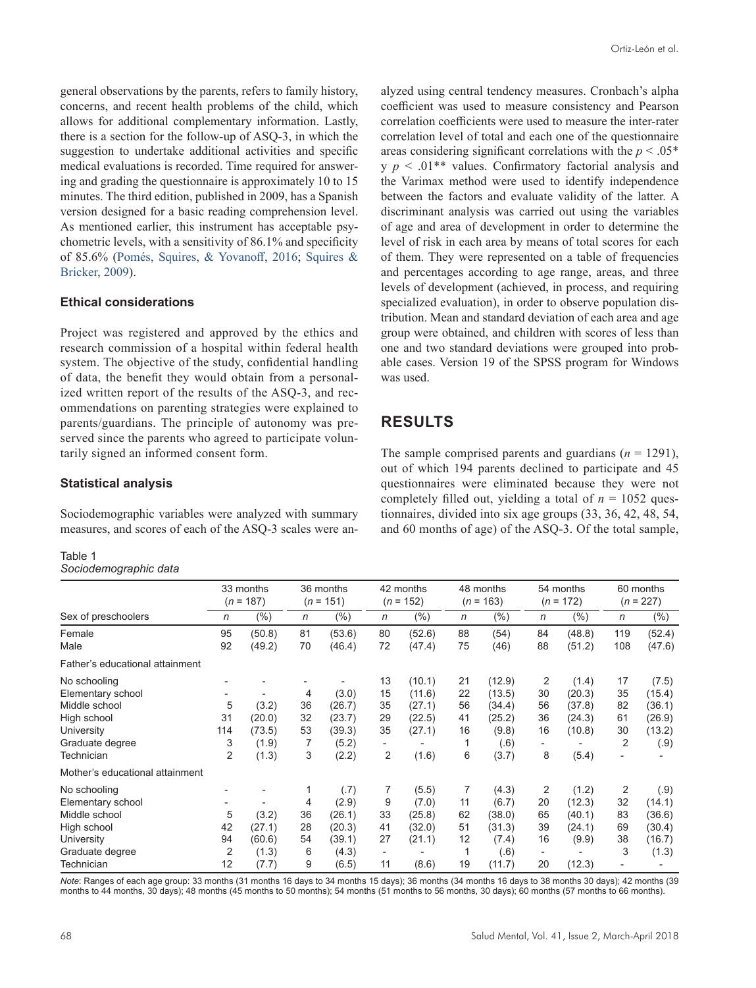general observations by the parents, refers to family history, concerns, and recent health problems of the child, which allows for additional complementary information. Lastly, there is a section for the follow-up of ASQ-3, in which the suggestion to undertake additional activities and specific medical evaluations is recorded. Time required for answering and grading the questionnaire is approximately 10 to 15 minutes. The third edition, published in 2009, has a Spanish version designed for a basic reading comprehension level. As mentioned earlier, this instrument has acceptable psychometric levels, with a sensitivity of 86.1% and specificity of 85.6% [\(Pomés, Squires, & Yovanoff, 2016](#page-6-27); [Squires &](#page-6-28) [Bricker, 2009\)](#page-6-28).

## **Ethical considerations**

Project was registered and approved by the ethics and research commission of a hospital within federal health system. The objective of the study, confidential handling of data, the benefit they would obtain from a personalized written report of the results of the ASQ-3, and recommendations on parenting strategies were explained to parents/guardians. The principle of autonomy was preserved since the parents who agreed to participate voluntarily signed an informed consent form.

## coefficient was used to measure consistency and Pearson correlation coefficients were used to measure the inter-rater correlation level of total and each one of the questionnaire areas considering significant correlations with the *p* < .05\*  $y \thinspace p \thinspace < \thinspace .01$ <sup>\*\*</sup> values. Confirmatory factorial analysis and the Varimax method were used to identify independence between the factors and evaluate validity of the latter. A discriminant analysis was carried out using the variables of age and area of development in order to determine the level of risk in each area by means of total scores for each of them. They were represented on a table of frequencies and percentages according to age range, areas, and three levels of development (achieved, in process, and requiring specialized evaluation), in order to observe population distribution. Mean and standard deviation of each area and age group were obtained, and children with scores of less than one and two standard deviations were grouped into probable cases. Version 19 of the SPSS program for Windows was used.

alyzed using central tendency measures. Cronbach's alpha

# **RESULTS**

The sample comprised parents and guardians  $(n = 1291)$ , out of which 194 parents declined to participate and 45 questionnaires were eliminated because they were not completely filled out, yielding a total of  $n = 1052$  questionnaires, divided into six age groups (33, 36, 42, 48, 54, and 60 months of age) of the ASQ-3. Of the total sample,

## **Statistical analysis**

Sociodemographic variables were analyzed with summary measures, and scores of each of the ASQ-3 scales were an-

| н. |  |
|----|--|
|----|--|

*Sociodemographic data*

|                                                                                                                                                     | 33 months<br>$(n = 187)$ |                                             | 36 months<br>151)<br>$(n =$   |                                                               | 42 months<br>$(n = 152)$                                    |                                                         | 48 months<br>$(n = 163)$        |                                                                | 54 months<br>$(n = 172)$                                    |                                                        | 60 months<br>$(n = 227)$        |                                                       |
|-----------------------------------------------------------------------------------------------------------------------------------------------------|--------------------------|---------------------------------------------|-------------------------------|---------------------------------------------------------------|-------------------------------------------------------------|---------------------------------------------------------|---------------------------------|----------------------------------------------------------------|-------------------------------------------------------------|--------------------------------------------------------|---------------------------------|-------------------------------------------------------|
| Sex of preschoolers                                                                                                                                 | n                        | $(\%)$                                      | $\mathsf{n}$                  | $(\%)$                                                        | $\mathsf{n}$                                                | (% )                                                    | $\mathsf{n}$                    | (%)                                                            | $\mathsf{n}$                                                | $(\%)$                                                 | n                               | $(\% )$                                               |
| Female<br>Male                                                                                                                                      | 95<br>92                 | (50.8)<br>(49.2)                            | 81<br>70                      | (53.6)<br>(46.4)                                              | 80<br>72                                                    | (52.6)<br>(47.4)                                        | 88<br>75                        | (54)<br>(46)                                                   | 84<br>88                                                    | (48.8)<br>(51.2)                                       | 119<br>108                      | (52.4)<br>(47.6)                                      |
| Father's educational attainment                                                                                                                     |                          |                                             |                               |                                                               |                                                             |                                                         |                                 |                                                                |                                                             |                                                        |                                 |                                                       |
| No schooling<br>Elementary school<br>Middle school<br>High school<br>University<br>Graduate degree<br>Technician<br>Mother's educational attainment | 5<br>31<br>114<br>3<br>2 | (3.2)<br>(20.0)<br>(73.5)<br>(1.9)<br>(1.3) | 4<br>36<br>32<br>53<br>7<br>3 | (3.0)<br>(26.7)<br>(23.7)<br>(39.3)<br>(5.2)<br>(2.2)         | 13<br>15<br>35<br>29<br>35<br>$\overline{\phantom{a}}$<br>2 | (10.1)<br>(11.6)<br>(27.1)<br>(22.5)<br>(27.1)<br>(1.6) | 21<br>22<br>56<br>41<br>16<br>6 | (12.9)<br>(13.5)<br>(34.4)<br>(25.2)<br>(9.8)<br>(.6)<br>(3.7) | 2<br>30<br>56<br>36<br>16<br>-<br>8                         | (1.4)<br>(20.3)<br>(37.8)<br>(24.3)<br>(10.8)<br>(5.4) | 17<br>35<br>82<br>61<br>30<br>2 | (7.5)<br>(15.4)<br>(36.1)<br>(26.9)<br>(13.2)<br>(.9) |
| No schooling<br>Elementary school<br>Middle school<br>High school<br>University<br>Graduate degree<br>Technician                                    | 5<br>42<br>94<br>2<br>12 | (3.2)<br>(27.1)<br>(60.6)<br>(1.3)<br>(7.7) | 4<br>36<br>28<br>54<br>6<br>9 | (.7)<br>(2.9)<br>(26.1)<br>(20.3)<br>(39.1)<br>(4.3)<br>(6.5) | 7<br>9<br>33<br>41<br>27<br>$\overline{\phantom{a}}$<br>11  | (5.5)<br>(7.0)<br>(25.8)<br>(32.0)<br>(21.1)<br>(8.6)   | 7<br>11<br>62<br>51<br>12<br>19 | (4.3)<br>(6.7)<br>(38.0)<br>(31.3)<br>(7.4)<br>(.6)<br>(11.7)  | 2<br>20<br>65<br>39<br>16<br>$\overline{\phantom{a}}$<br>20 | (1.2)<br>(12.3)<br>(40.1)<br>(24.1)<br>(9.9)<br>(12.3) | 2<br>32<br>83<br>69<br>38<br>3  | (.9)<br>(14.1)<br>(36.6)<br>(30.4)<br>(16.7)<br>(1.3) |

*Note*: Ranges of each age group: 33 months (31 months 16 days to 34 months 15 days); 36 months (34 months 16 days to 38 months 30 days); 42 months (39 months to 44 months, 30 days); 48 months (45 months to 50 months); 54 months (51 months to 56 months, 30 days); 60 months (57 months to 66 months).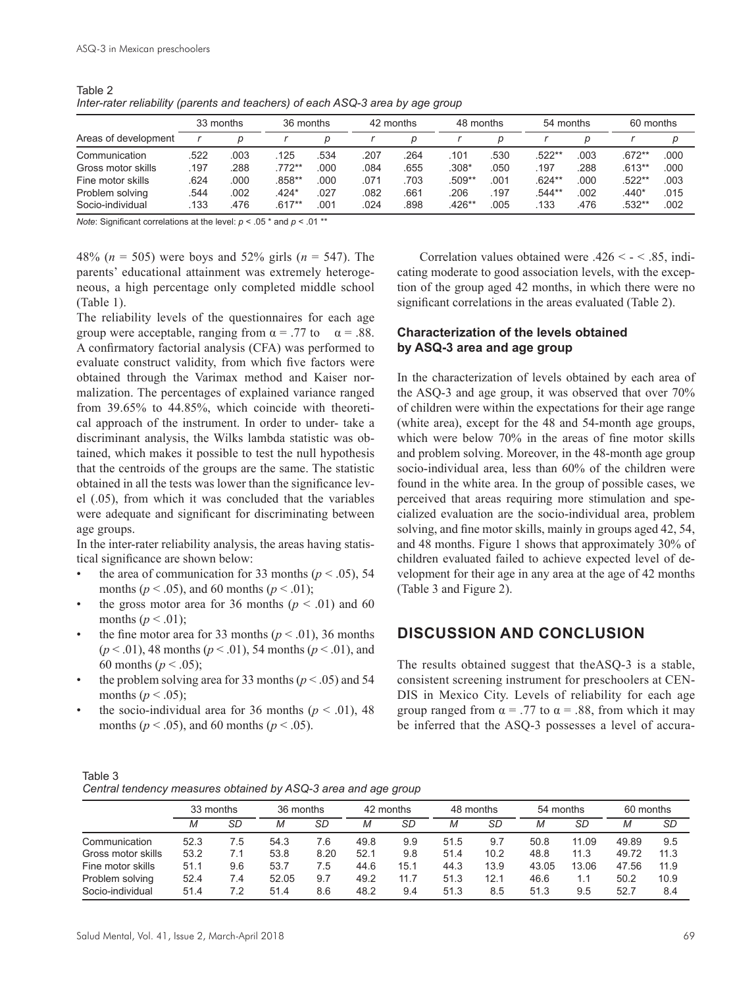|                      |      | 33 months | 36 months |      |      | 42 months | 48 months |      | 54 months |      | 60 months |      |
|----------------------|------|-----------|-----------|------|------|-----------|-----------|------|-----------|------|-----------|------|
| Areas of development |      |           |           |      |      |           |           |      |           |      |           |      |
| Communication        | .522 | 003       | 125       | .534 | .207 | .264      | .101      | .530 | $.522**$  | 003  | $.672**$  | .000 |
| Gross motor skills   | .197 | 288       | $.772**$  | .000 | .084 | .655      | $.308*$   | .050 | .197      | .288 | $.613**$  | .000 |
| Fine motor skills    | .624 | .000      | $.858**$  | .000 | .071 | .703      | .509**    | .001 | $.624**$  | .000 | $.522**$  | .003 |
| Problem solving      | .544 | .002      | $.424*$   | .027 | 082  | .661      | .206      | .197 | .544**    | .002 | $.440*$   | .015 |
| Socio-individual     | 133  | 476       | $.617**$  | .001 | .024 | .898      | $.426**$  | .005 | 133       | 476  | .532**    | .002 |

Table 2 *Inter-rater reliability (parents and teachers) of each ASQ-3 area by age group*

*Note*: Significant correlations at the level: *p* < .05 \* and *p* < .01 \*\*

48% (*n* = 505) were boys and 52% girls (*n* = 547). The parents' educational attainment was extremely heterogeneous, a high percentage only completed middle school (Table 1).

The reliability levels of the questionnaires for each age group were acceptable, ranging from  $\alpha = .77$  to  $\alpha = .88$ . A confirmatory factorial analysis (CFA) was performed to evaluate construct validity, from which five factors were obtained through the Varimax method and Kaiser normalization. The percentages of explained variance ranged from 39.65% to 44.85%, which coincide with theoretical approach of the instrument. In order to under- take a discriminant analysis, the Wilks lambda statistic was obtained, which makes it possible to test the null hypothesis that the centroids of the groups are the same. The statistic obtained in all the tests was lower than the significance level (.05), from which it was concluded that the variables were adequate and significant for discriminating between age groups.

In the inter-rater reliability analysis, the areas having statistical significance are shown below:

- the area of communication for 33 months  $(p < .05)$ , 54 months ( $p < .05$ ), and 60 months ( $p < .01$ );
- the gross motor area for 36 months ( $p < .01$ ) and 60 months  $(p < .01)$ ;
- the fine motor area for 33 months  $(p < .01)$ , 36 months (*p* < .01), 48 months (*p* < .01), 54 months (*p* < .01), and 60 months ( $p < .05$ );
- the problem solving area for 33 months ( $p < .05$ ) and 54 months ( $p < .05$ );
- the socio-individual area for 36 months ( $p < .01$ ), 48 months ( $p < .05$ ), and 60 months ( $p < .05$ ).

Correlation values obtained were  $.426 < - < .85$ , indicating moderate to good association levels, with the exception of the group aged 42 months, in which there were no significant correlations in the areas evaluated (Table 2).

## **Characterization of the levels obtained by ASQ-3 area and age group**

In the characterization of levels obtained by each area of the ASQ-3 and age group, it was observed that over 70% of children were within the expectations for their age range (white area), except for the 48 and 54-month age groups, which were below 70% in the areas of fine motor skills and problem solving. Moreover, in the 48-month age group socio-individual area, less than 60% of the children were found in the white area. In the group of possible cases, we perceived that areas requiring more stimulation and specialized evaluation are the socio-individual area, problem solving, and fine motor skills, mainly in groups aged 42, 54, and 48 months. Figure 1 shows that approximately 30% of children evaluated failed to achieve expected level of development for their age in any area at the age of 42 months (Table 3 and Figure 2).

# **DISCUSSION AND CONCLUSION**

The results obtained suggest that theASQ-3 is a stable, consistent screening instrument for preschoolers at CEN-DIS in Mexico City. Levels of reliability for each age group ranged from  $\alpha = .77$  to  $\alpha = .88$ , from which it may be inferred that the ASQ-3 possesses a level of accura-

| Table 3                                                        |  |
|----------------------------------------------------------------|--|
| Central tendency measures obtained by ASQ-3 area and age group |  |

|                    | 33 months |     | 36 months |      | 42 months |      | 48 months |      | 54 months |       | 60 months |      |
|--------------------|-----------|-----|-----------|------|-----------|------|-----------|------|-----------|-------|-----------|------|
|                    |           | SD  | М         | SD   | Μ         | SD   | M         | SD   | Μ         | SD    | М         | SD   |
| Communication      | 52.3      | 7.5 | 54.3      | 7.6  | 49.8      | 9.9  | 51.5      | 9.7  | 50.8      | 11.09 | 49.89     | 9.5  |
| Gross motor skills | 53.2      | 7.1 | 53.8      | 8.20 | 52.1      | 9.8  | 51.4      | 10.2 | 48.8      | 11.3  | 49.72     | 11.3 |
| Fine motor skills  | 51.1      | 9.6 | 53.7      | 7.5  | 44.6      | 15.1 | 44.3      | 13.9 | 43.05     | 13.06 | 47.56     | 11.9 |
| Problem solving    | 52.4      | 7.4 | 52.05     | 9.7  | 49.2      | 11.7 | 51.3      | 12.1 | 46.6      | 1.1   | 50.2      | 10.9 |
| Socio-individual   | 51.4      | 7.2 | 51.4      | 8.6  | 48.2      | 9.4  | 51.3      | 8.5  | 51.3      | 9.5   | 52.7      | 8.4  |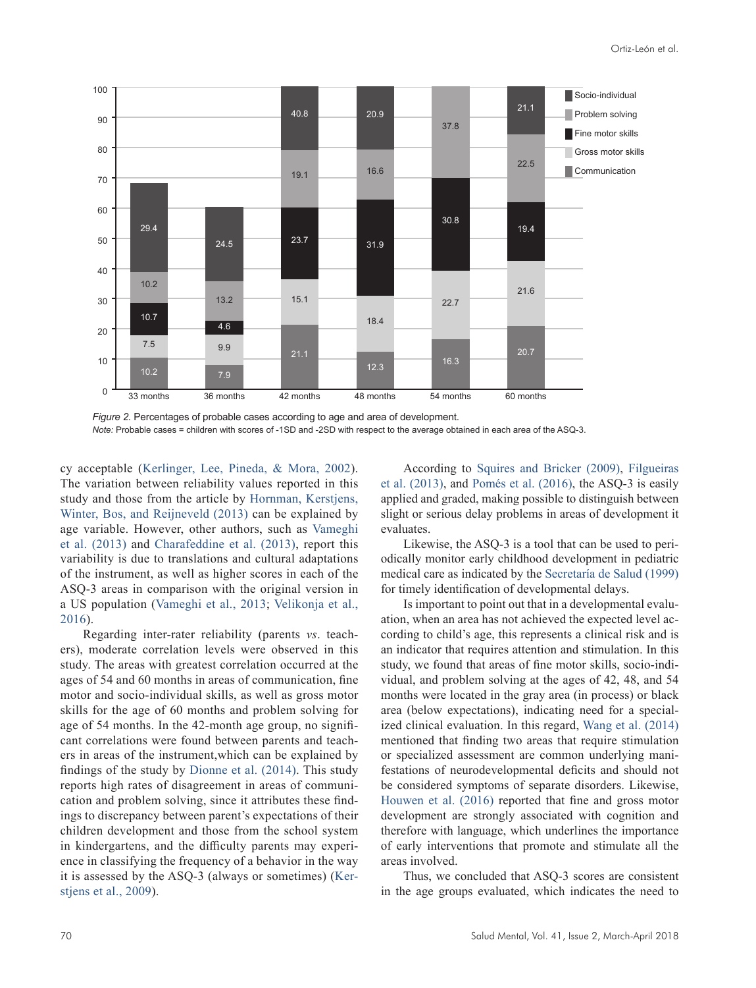

*Figure 2.* Percentages of probable cases according to age and area of development. *Note:* Probable cases = children with scores of -1SD and -2SD with respect to the average obtained in each area of the ASQ-3.

cy acceptable [\(Kerlinger, Lee, Pineda, & Mora, 2002](#page-6-29)). The variation between reliability values reported in this study and those from the article by [Hornman, Kerstjens,](#page-6-30) [Winter, Bos, and Reijneveld \(2013\)](#page-6-30) can be explained by age variable. However, other authors, such as [Vameghi](#page-7-2) [et al. \(2013\)](#page-7-2) and [Charafeddine et al. \(2013\)](#page-6-16), report this variability is due to translations and cultural adaptations of the instrument, as well as higher scores in each of the ASQ-3 areas in comparison with the original version in a US population ([Vameghi et al., 2013](#page-7-2); [Velikonja et al.,](#page-7-3) [2016](#page-7-3)).

Regarding inter-rater reliability (parents *vs*. teachers), moderate correlation levels were observed in this study. The areas with greatest correlation occurred at the ages of 54 and 60 months in areas of communication, fine motor and socio-individual skills, as well as gross motor skills for the age of 60 months and problem solving for age of 54 months. In the 42-month age group, no significant correlations were found between parents and teachers in areas of the instrument,which can be explained by findings of the study by [Dionne et al. \(2014\).](#page-6-18) This study reports high rates of disagreement in areas of communication and problem solving, since it attributes these findings to discrepancy between parent's expectations of their children development and those from the school system in kindergartens, and the difficulty parents may experience in classifying the frequency of a behavior in the way it is assessed by the ASQ-3 (always or sometimes) [\(Ker](#page-6-19)[stjens et al., 2009\)](#page-6-19).

According to [Squires and Bricker \(2009\)](#page-6-28), [Filgueiras](#page-6-17) [et al. \(2013\),](#page-6-17) and [Pomés et al. \(2016\)](#page-6-27), the ASQ-3 is easily applied and graded, making possible to distinguish between slight or serious delay problems in areas of development it evaluates.

Likewise, the ASQ-3 is a tool that can be used to periodically monitor early childhood development in pediatric medical care as indicated by the [Secretaría de Salud \(1999\)](#page-6-9) for timely identification of developmental delays.

Is important to point out that in a developmental evaluation, when an area has not achieved the expected level according to child's age, this represents a clinical risk and is an indicator that requires attention and stimulation. In this study, we found that areas of fine motor skills, socio-individual, and problem solving at the ages of 42, 48, and 54 months were located in the gray area (in process) or black area (below expectations), indicating need for a specialized clinical evaluation. In this regard, [Wang et al. \(2014\)](#page-7-1) mentioned that finding two areas that require stimulation or specialized assessment are common underlying manifestations of neurodevelopmental deficits and should not be considered symptoms of separate disorders. Likewise, [Houwen et al. \(2016\)](#page-6-2) reported that fine and gross motor development are strongly associated with cognition and therefore with language, which underlines the importance of early interventions that promote and stimulate all the areas involved.

Thus, we concluded that ASQ-3 scores are consistent in the age groups evaluated, which indicates the need to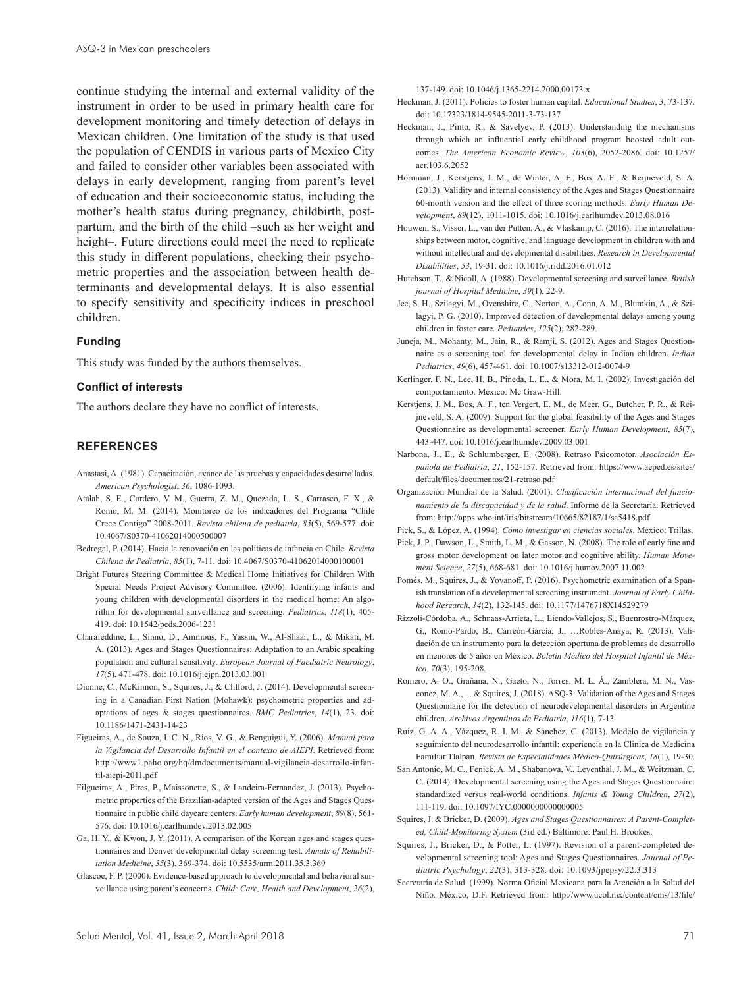continue studying the internal and external validity of the instrument in order to be used in primary health care for development monitoring and timely detection of delays in Mexican children. One limitation of the study is that used the population of CENDIS in various parts of Mexico City and failed to consider other variables been associated with delays in early development, ranging from parent's level of education and their socioeconomic status, including the mother's health status during pregnancy, childbirth, postpartum, and the birth of the child –such as her weight and height-. Future directions could meet the need to replicate this study in different populations, checking their psychometric properties and the association between health determinants and developmental delays. It is also essential to specify sensitivity and specificity indices in preschool children.

#### **Funding**

This study was funded by the authors themselves.

#### **Conflict of interests**

The authors declare they have no conflict of interests.

#### **REFERENCES**

- <span id="page-6-25"></span>Anastasi, A. (1981). Capacitación, avance de las pruebas y capacidades desarrolladas. *American Psychologist*, *36*, 1086-1093.
- <span id="page-6-7"></span>Atalah, S. E., Cordero, V. M., Guerra, Z. M., Quezada, L. S., Carrasco, F. X., & Romo, M. M. (2014). Monitoreo de los indicadores del Programa "Chile Crece Contigo" 2008-2011. *Revista chilena de pediatría*, *85*(5), 569-577. doi: 10.4067/S0370-41062014000500007
- <span id="page-6-8"></span>Bedregal, P. (2014). Hacia la renovación en las políticas de infancia en Chile. *Revista Chilena de Pediatría*, *85*(1), 7-11. doi: 10.4067/S0370-41062014000100001
- <span id="page-6-10"></span>Bright Futures Steering Committee & Medical Home Initiatives for Children With Special Needs Project Advisory Committee. (2006). Identifying infants and young children with developmental disorders in the medical home: An algorithm for developmental surveillance and screening. *Pediatrics*, *118*(1), 405- 419. doi: 10.1542/peds.2006-1231
- <span id="page-6-16"></span>Charafeddine, L., Sinno, D., Ammous, F., Yassin, W., Al-Shaar, L., & Mikati, M. A. (2013). Ages and Stages Questionnaires: Adaptation to an Arabic speaking population and cultural sensitivity. *European Journal of Paediatric Neurology*, *17*(5), 471-478. doi: 10.1016/j.ejpn.2013.03.001
- <span id="page-6-18"></span>Dionne, C., McKinnon, S., Squires, J., & Clifford, J. (2014). Developmental screening in a Canadian First Nation (Mohawk): psychometric properties and adaptations of ages & stages questionnaires. *BMC Pediatrics*, *14*(1), 23. doi: 10.1186/1471-2431-14-23
- <span id="page-6-11"></span>Figueiras, A., de Souza, I. C. N., Ríos, V. G., & Benguigui, Y. (2006). *Manual para la Vigilancia del Desarrollo Infantil en el contexto de AIEPI*. Retrieved from: http://www1.paho.org/hq/dmdocuments/manual-vigilancia-desarrollo-infantil-aiepi-2011.pdf
- <span id="page-6-17"></span>Filgueiras, A., Pires, P., Maissonette, S., & Landeira-Fernandez, J. (2013). Psychometric properties of the Brazilian-adapted version of the Ages and Stages Questionnaire in public child daycare centers. *Early human development*, *89*(8), 561- 576. doi: 10.1016/j.earlhumdev.2013.02.005
- <span id="page-6-21"></span>Ga, H. Y., & Kwon, J. Y. (2011). A comparison of the Korean ages and stages questionnaires and Denver developmental delay screening test. *Annals of Rehabilitation Medicine*, *35*(3), 369-374. doi: 10.5535/arm.2011.35.3.369
- <span id="page-6-14"></span>Glascoe, F. P. (2000). Evidence-based approach to developmental and behavioral surveillance using parent's concerns. *Child: Care, Health and Development*, *26*(2),

137-149. doi: 10.1046/j.1365-2214.2000.00173.x

- <span id="page-6-6"></span>Heckman, J. (2011). Policies to foster human capital. *Educational Studies*, *3*, 73-137. doi: 10.17323/1814-9545-2011-3-73-137
- <span id="page-6-5"></span>Heckman, J., Pinto, R., & Savelyev, P. (2013). Understanding the mechanisms through which an influential early childhood program boosted adult outcomes. *The American Economic Review*, *103*(6), 2052-2086. doi: 10.1257/ aer.103.6.2052
- <span id="page-6-30"></span>Hornman, J., Kerstjens, J. M., de Winter, A. F., Bos, A. F., & Reijneveld, S. A. (2013). Validity and internal consistency of the Ages and Stages Questionnaire 60-month version and the effect of three scoring methods. *Early Human Development*, *89*(12), 1011-1015. doi: 10.1016/j.earlhumdev.2013.08.016
- <span id="page-6-2"></span>Houwen, S., Visser, L., van der Putten, A., & Vlaskamp, C. (2016). The interrelationships between motor, cognitive, and language development in children with and without intellectual and developmental disabilities. *Research in Developmental Disabilities*, *53*, 19-31. doi: 10.1016/j.ridd.2016.01.012
- <span id="page-6-0"></span>Hutchson, T., & Nicoll, A. (1988). Developmental screening and surveillance. *British journal of Hospital Medicine*, *39*(1), 22-9.
- <span id="page-6-23"></span>Jee, S. H., Szilagyi, M., Ovenshire, C., Norton, A., Conn, A. M., Blumkin, A., & Szilagyi, P. G. (2010). Improved detection of developmental delays among young children in foster care. *Pediatrics*, *125*(2), 282-289.
- <span id="page-6-22"></span>Juneja, M., Mohanty, M., Jain, R., & Ramji, S. (2012). Ages and Stages Questionnaire as a screening tool for developmental delay in Indian children. *Indian Pediatrics*, *49*(6), 457-461. doi: 10.1007/s13312-012-0074-9
- <span id="page-6-29"></span>Kerlinger, F. N., Lee, H. B., Pineda, L. E., & Mora, M. I. (2002). Investigación del comportamiento. México: Mc Graw-Hill.
- <span id="page-6-19"></span>Kerstjens, J. M., Bos, A. F., ten Vergert, E. M., de Meer, G., Butcher, P. R., & Reijneveld, S. A. (2009). Support for the global feasibility of the Ages and Stages Questionnaire as developmental screener. *Early Human Development*, *85*(7), 443-447. doi: 10.1016/j.earlhumdev.2009.03.001
- <span id="page-6-3"></span>Narbona, J., E., & Schlumberger, E. (2008). Retraso Psicomotor. *Asociación Española de Pediatría*, *21*, 152-157. Retrieved from: https://www.aeped.es/sites/ default/files/documentos/21-retraso.pdf
- <span id="page-6-4"></span>Organización Mundial de la Salud. (2001). *Clasificación internacional del funcionamiento de la discapacidad y de la salud*. Informe de la Secretaría. Retrieved from: http://apps.who.int/iris/bitstream/10665/82187/1/sa5418.pdf
- <span id="page-6-26"></span>Pick, S., & López, A. (1994). *Cómo investigar en ciencias sociales*. México: Trillas.
- <span id="page-6-1"></span>Piek, J. P., Dawson, L., Smith, L. M., & Gasson, N. (2008). The role of early fine and gross motor development on later motor and cognitive ability. *Human Movement Science*, *27*(5), 668-681. doi: 10.1016/j.humov.2007.11.002
- <span id="page-6-27"></span>Pomés, M., Squires, J., & Yovanoff, P. (2016). Psychometric examination of a Spanish translation of a developmental screening instrument. *Journal of Early Childhood Research*, *14*(2), 132-145. doi: 10.1177/1476718X14529279
- <span id="page-6-13"></span>Rizzoli-Córdoba, A., Schnaas-Arrieta, L., Liendo-Vallejos, S., Buenrostro-Márquez, G., Romo-Pardo, B., Carreón-García, J., …Robles-Anaya, R. (2013). Validación de un instrumento para la detección oportuna de problemas de desarrollo en menores de 5 años en México. *Boletín Médico del Hospital Infantil de México*, *70*(3), 195-208.
- <span id="page-6-24"></span>Romero, A. O., Grañana, N., Gaeto, N., Torres, M. L. Á., Zamblera, M. N., Vasconez, M. A., ... & Squires, J. (2018). ASQ-3: Validation of the Ages and Stages Questionnaire for the detection of neurodevelopmental disorders in Argentine children. *Archivos Argentinos de Pediatría*, *116*(1), 7-13.
- <span id="page-6-12"></span>Ruiz, G. A. A., Vázquez, R. I. M., & Sánchez, C. (2013). Modelo de vigilancia y seguimiento del neurodesarrollo infantil: experiencia en la Clínica de Medicina Familiar Tlalpan. *Revista de Especialidades Médico-Quirúrgicas*, *18*(1), 19-30.
- <span id="page-6-20"></span>San Antonio, M. C., Fenick, A. M., Shabanova, V., Leventhal, J. M., & Weitzman, C. C. (2014). Developmental screening using the Ages and Stages Questionnaire: standardized versus real-world conditions. *Infants & Young Children*, *27*(2), 111-119. doi: 10.1097/IYC.0000000000000005
- <span id="page-6-28"></span>Squires, J. & Bricker, D. (2009). *Ages and Stages Questionnaires: A Parent-Completed, Child-Monitoring System* (3rd ed.) Baltimore: Paul H. Brookes.
- <span id="page-6-15"></span>Squires, J., Bricker, D., & Potter, L. (1997). Revision of a parent-completed developmental screening tool: Ages and Stages Questionnaires. *Journal of Pediatric Psychology*, *22*(3), 313-328. doi: 10.1093/jpepsy/22.3.313
- <span id="page-6-9"></span>Secretaría de Salud. (1999). Norma Oficial Mexicana para la Atención a la Salud del Niño. México, D.F. Retrieved from: http://www.ucol.mx/content/cms/13/file/